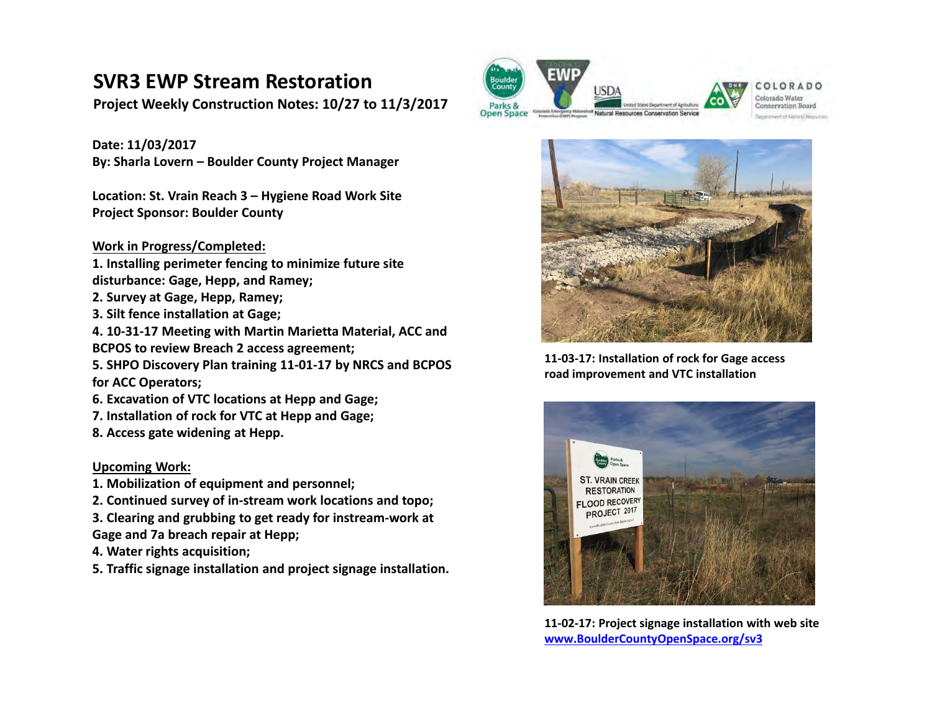# **SVR3 EWP Stream Restoration**

**Project Weekly Construction Notes: 10/27 to 11/3/2017**

**Date: 11/03/2017 By: Sharla Lovern – Boulder County Project Manager**

**Location: St. Vrain Reach 3 – Hygiene Road Work Site Project Sponsor: Boulder County** 

### **Work in Progress/Completed:**

- **1. Installing perimeter fencing to minimize future site disturbance: Gage, Hepp, and Ramey;**
- **2. Survey at Gage, Hepp, Ramey;**
- **3. Silt fence installation at Gage;**
- **4. 10‐31‐17 Meeting with Martin Marietta Material, ACC and**
- **BCPOS to review Breach 2 access agreement;**

**5. SHPO Discovery Plan training 11‐01‐17 by NRCS and BCPOS for ACC Operators;** 

- **6. Excavation of VTC locations at Hepp and Gage;**
- **7. Installation of rock for VTC at Hepp and Gage;**
- **8. Access gate widening at Hepp.**

### **Upcoming Work:**

- **1. Mobilization of equipment and personnel;**
- **2. Continued survey of in‐stream work locations and topo;**
- **3. Clearing and grubbing to get ready for instream‐work at Gage and 7a breach repair at Hepp;**
- **4. Water rights acquisition;**
- **5. Traffic signage installation and project signage installation.**









**11‐03‐17: Installation of rock for Gage access road improvement and VTC installation** 



**11‐02‐17: Project signage installation with web site www.BoulderCountyOpenSpace.org/sv3**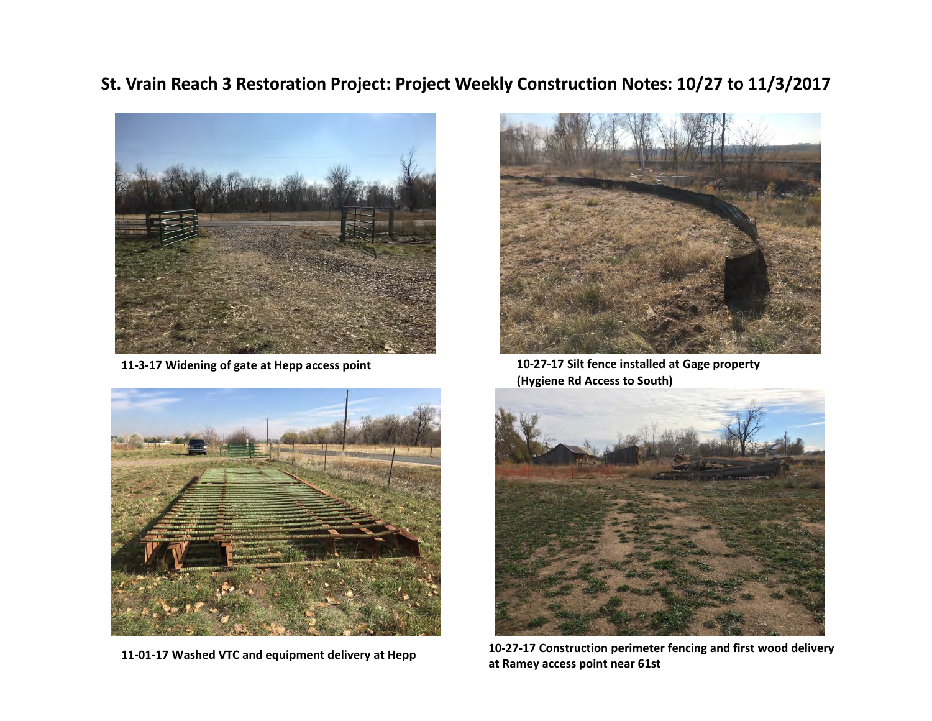## **St. Vrain Reach 3 Restoration Project: Project Weekly Construction Notes: 10/27 to 11/3/2017**



**11‐3‐17 Widening of gate at Hepp access point**



**at Ramey access point near 61st 11‐01‐17 Washed VTC and equipment delivery at Hepp**



**10‐27‐17 Silt fence installed at Gage property (Hygiene Rd Access to South)**



**10‐27‐17 Construction perimeter fencing and first wood delivery**